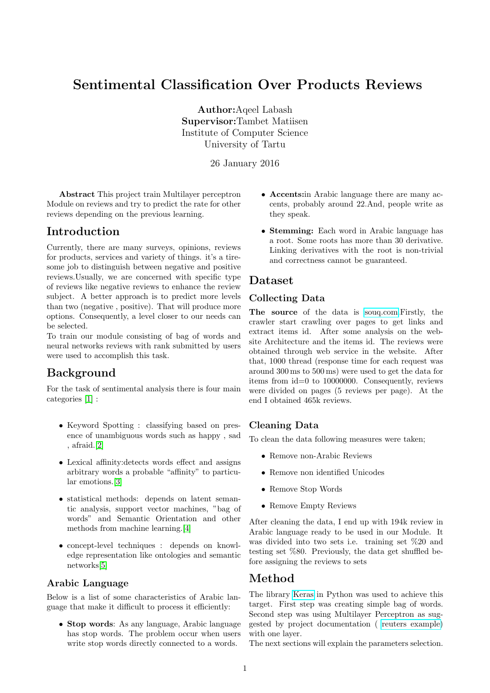# Sentimental Classification Over Products Reviews

Author:Aqeel Labash Supervisor:Tambet Matiisen Institute of Computer Science University of Tartu

26 January 2016

Abstract This project train Multilayer perceptron Module on reviews and try to predict the rate for other reviews depending on the previous learning.

## Introduction

Currently, there are many surveys, opinions, reviews for products, services and variety of things. it's a tiresome job to distinguish between negative and positive reviews.Usually, we are concerned with specific type of reviews like negative reviews to enhance the review subject. A better approach is to predict more levels than two (negative , positive). That will produce more options. Consequently, a level closer to our needs can be selected.

To train our module consisting of bag of words and neural networks reviews with rank submitted by users were used to accomplish this task.

## Background

For the task of sentimental analysis there is four main categories [\[1\]](#page-3-0) :

- Keyword Spotting : classifying based on presence of unambiguous words such as happy , sad , afraid.[\[2\]](#page-3-1)
- Lexical affinity:detects words effect and assigns arbitrary words a probable "affinity" to particular emotions.[\[3\]](#page-3-2)
- statistical methods: depends on latent semantic analysis, support vector machines, "bag of words" and Semantic Orientation and other methods from machine learning.[\[4\]](#page-3-3)
- concept-level techniques : depends on knowledge representation like ontologies and semantic networks[\[5\]](#page-3-4)

## Arabic Language

Below is a list of some characteristics of Arabic language that make it difficult to process it efficiently:

• Stop words: As any language, Arabic language has stop words. The problem occur when users write stop words directly connected to a words.

- Accents:in Arabic language there are many accents, probably around 22.And, people write as they speak.
- Stemming: Each word in Arabic language has a root. Some roots has more than 30 derivative. Linking derivatives with the root is non-trivial and correctness cannot be guaranteed.

## Dataset

## Collecting Data

The source of the data is [souq.com.](http://www.souq.com)Firstly, the crawler start crawling over pages to get links and extract items id. After some analysis on the website Architecture and the items id. The reviews were obtained through web service in the website. After that, 1000 thread (response time for each request was around 300 ms to 500 ms) were used to get the data for items from id=0 to 10000000. Consequently, reviews were divided on pages (5 reviews per page). At the end I obtained 465k reviews.

## Cleaning Data

To clean the data following measures were taken;

- Remove non-Arabic Reviews
- Remove non identified Unicodes
- Remove Stop Words
- Remove Empty Reviews

After cleaning the data, I end up with 194k review in Arabic language ready to be used in our Module. It was divided into two sets i.e. training set %20 and testing set %80. Previously, the data get shuffled before assigning the reviews to sets

## Method

The library [Keras](http://keras.io/) in Python was used to achieve this target. First step was creating simple bag of words. Second step was using Multilayer Perceptron as suggested by project documentation ( [reuters example\)](https://github.com/fchollet/keras/blob/master/examples/reuters_mlp.py) with one layer.

The next sections will explain the parameters selection.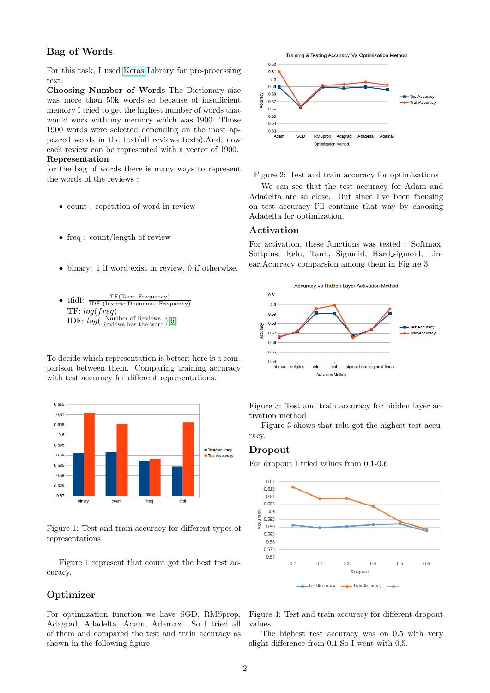### Bag of Words

For this task, I used [Keras](http://keras.io/) Library for pre-processing text.

Choosing Number of Words The Dictionary size was more than 50k words so because of insufficient memory I tried to get the highest number of words that would work with my memory which was 1900. Those 1900 words were selected depending on the most appeared words in the text(all reviews texts).And, now each review can be represented with a vector of 1900. Representation

for the bag of words there is many ways to represent the words of the reviews :

- count : repetition of word in review
- freq : count/length of review
- binary: 1 if word exist in review, 0 if otherwise.
- tfidf: TE(Term Frequency)  $TF: log(freq)$ IDF:  $log(\frac{\text{Number of Reviews}}{\text{Reviews has the word}})[6]$  $log(\frac{\text{Number of Reviews}}{\text{Reviews has the word}})[6]$

To decide which representation is better; here is a comparison between them. Comparing training accuracy with test accuracy for different representations.



Figure 1: Test and train accuracy for different types of representations

Figure 1 represent that count got the best test accuracy.

### Optimizer

For optimization function we have SGD, RMSprop, Adagrad, Adadelta, Adam, Adamax. So I tried all of them and compared the test and train accuracy as shown in the following figure



Figure 2: Test and train accuracy for optimizations

We can see that the test accuracy for Adam and Adadelta are so close. But since I've been focusing on test accuracy I'll continue that way by choosing Adadelta for optimization.

#### Activation

For activation, these functions was tested : Softmax, Softplus, Relu, Tanh, Sigmoid, Hard sigmoid, Linear.Acurracy comparsion among them in Figure 3



Figure 3: Test and train accuracy for hidden layer activation method

Figure 3 shows that relu got the highest test accuracy.

#### Dropout

For dropout I tried values from 0.1-0.6



Figure 4: Test and train accuracy for different dropout values

The highest test accuracy was on 0.5 with very slight difference from 0.1.So I went with 0.5.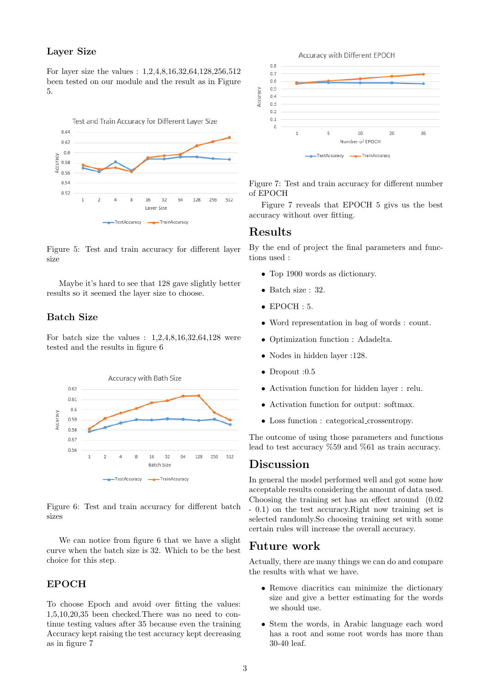#### Layer Size

For layer size the values : 1,2,4,8,16,32,64,128,256,512 been tested on our module and the result as in Figure 5.



Figure 5: Test and train accuracy for different layer size

Maybe it's hard to see that 128 gave slightly better results so it seemed the layer size to choose.

### Batch Size

For batch size the values :  $1,2,4,8,16,32,64,128$  were tested and the results in figure 6



Figure 6: Test and train accuracy for different batch sizes

We can notice from figure 6 that we have a slight curve when the batch size is 32. Which to be the best choice for this step.

### EPOCH

To choose Epoch and avoid over fitting the values: 1,5,10,20,35 been checked.There was no need to continue testing values after 35 because even the training Accuracy kept raising the test accuracy kept decreasing as in figure 7



Figure 7: Test and train accuracy for different number of EPOCH

Figure 7 reveals that EPOCH 5 givs us the best accuracy without over fitting.

#### Results

By the end of project the final parameters and functions used :

- Top 1900 words as dictionary.
- Batch size : 32.
- $\bullet$  EPOCH : 5.
- Word representation in bag of words : count.
- Optimization function : Adadelta.
- Nodes in hidden layer :128.
- Dropout :0.5
- Activation function for hidden layer : relu.
- Activation function for output: softmax.
- Loss function : categorical crossentropy.

The outcome of using those parameters and functions lead to test accuracy %59 and %61 as train accuracy.

### Discussion

In general the model performed well and got some how acceptable results considering the amount of data used. Choosing the training set has an effect around (0.02 - 0.1) on the test accuracy.Right now training set is selected randomly.So choosing training set with some certain rules will increase the overall accuracy.

### Future work

Actually, there are many things we can do and compare the results with what we have.

- Remove diacritics can minimize the dictionary size and give a better estimating for the words we should use.
- Stem the words, in Arabic language each word has a root and some root words has more than 30-40 leaf.

3